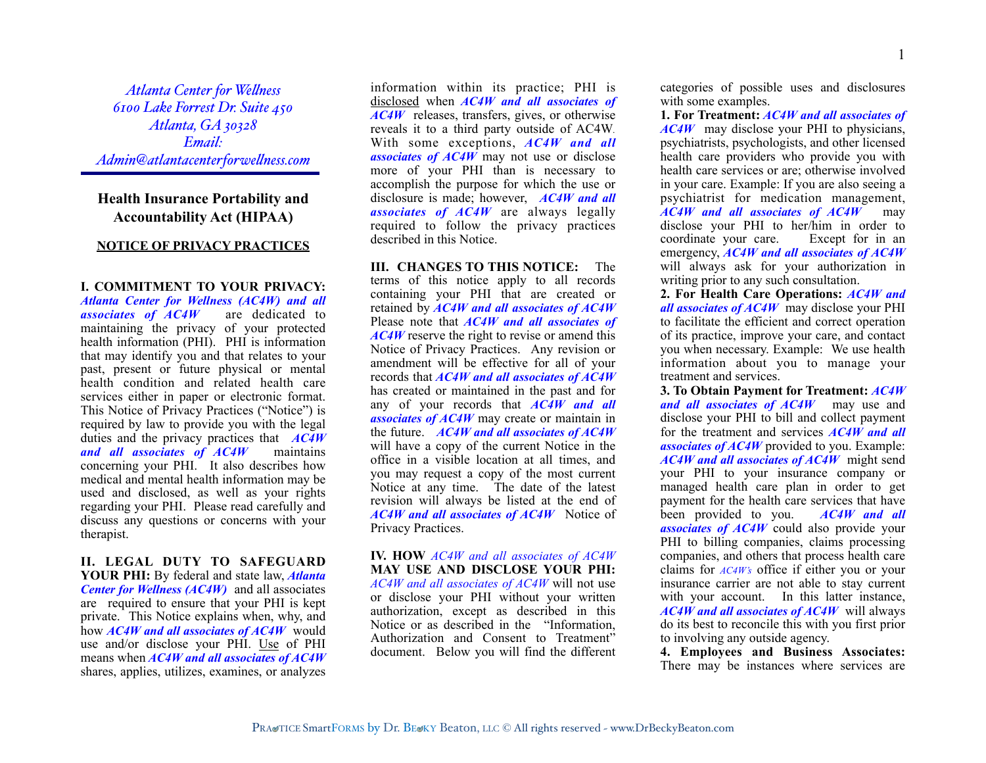*Atlanta Center for Wellness 6100 Lake Forrest Dr. Suite 450 Atlanta, GA 30328 Email: Admin@atlantacenterforwellness.com*

## **Health Insurance Portability and Accountability Act (HIPAA)**

## **NOTICE OF PRIVACY PRACTICES**

**I. COMMITMENT TO YOUR PRIVACY:**  *Atlanta Center for Wellness (AC4W) and all associates of AC4W* are dedicated to maintaining the privacy of your protected health information (PHI). PHI is information that may identify you and that relates to your past, present or future physical or mental health condition and related health care services either in paper or electronic format. This Notice of Privacy Practices ("Notice") is required by law to provide you with the legal duties and the privacy practices that *AC4W and all associates of AC4W* maintains concerning your PHI. It also describes how medical and mental health information may be used and disclosed, as well as your rights regarding your PHI. Please read carefully and discuss any questions or concerns with your therapist.

**II. LEGAL DUTY TO SAFEGUARD YOUR PHI:** By federal and state law, *Atlanta Center for Wellness (AC4W)* and all associates are required to ensure that your PHI is kept private. This Notice explains when, why, and how *AC4W and all associates of AC4W* would use and/or disclose your PHI. Use of PHI means when *AC4W and all associates of AC4W* shares, applies, utilizes, examines, or analyzes

information within its practice; PHI is disclosed when *AC4W and all associates of AC4W* releases, transfers, gives, or otherwise reveals it to a third party outside of AC4W*.* With some exceptions, *AC4W and all associates of AC4W* may not use or disclose more of your PHI than is necessary to accomplish the purpose for which the use or disclosure is made; however, *AC4W and all associates of AC4W* are always legally required to follow the privacy practices described in this Notice.

**III. CHANGES TO THIS NOTICE:** The terms of this notice apply to all records containing your PHI that are created or retained by *AC4W and all associates of AC4W* Please note that *AC4W and all associates of AC4W* reserve the right to revise or amend this Notice of Privacy Practices. Any revision or amendment will be effective for all of your records that *AC4W and all associates of AC4W* has created or maintained in the past and for any of your records that *AC4W and all associates of AC4W* may create or maintain in the future. *AC4W and all associates of AC4W* will have a copy of the current Notice in the office in a visible location at all times, and you may request a copy of the most current Notice at any time. The date of the latest revision will always be listed at the end of *AC4W and all associates of AC4W* Notice of Privacy Practices.

**IV. HOW** *AC4W and all associates of AC4W* **MAY USE AND DISCLOSE YOUR PHI:**  *AC4W and all associates of AC4W* will not use or disclose your PHI without your written authorization, except as described in this Notice or as described in the "Information, Authorization and Consent to Treatment" document. Below you will find the different categories of possible uses and disclosures with some examples.

**1. For Treatment:** *AC4W and all associates of AC4W* may disclose your PHI to physicians, psychiatrists, psychologists, and other licensed health care providers who provide you with health care services or are; otherwise involved in your care. Example: If you are also seeing a psychiatrist for medication management, *AC4W and all associates of AC4W* may disclose your PHI to her/him in order to coordinate your care. Except for in an emergency, *AC4W and all associates of AC4W* will always ask for your authorization in writing prior to any such consultation.

**2. For Health Care Operations:** *AC4W and all associates of AC4W* may disclose your PHI to facilitate the efficient and correct operation of its practice, improve your care, and contact you when necessary. Example: We use health information about you to manage your treatment and services.

**3. To Obtain Payment for Treatment:** *AC4W and all associates of AC4W* may use and disclose your PHI to bill and collect payment for the treatment and services *AC4W and all associates of AC4W* provided to you. Example: *AC4W and all associates of AC4W* might send your PHI to your insurance company or managed health care plan in order to get payment for the health care services that have been provided to you. *AC4W and all associates of AC4W* could also provide your PHI to billing companies, claims processing companies, and others that process health care claims for *AC4W's* office if either you or your insurance carrier are not able to stay current with your account. In this latter instance, *AC4W and all associates of AC4W* will always do its best to reconcile this with you first prior to involving any outside agency.

**4. Employees and Business Associates:**  There may be instances where services are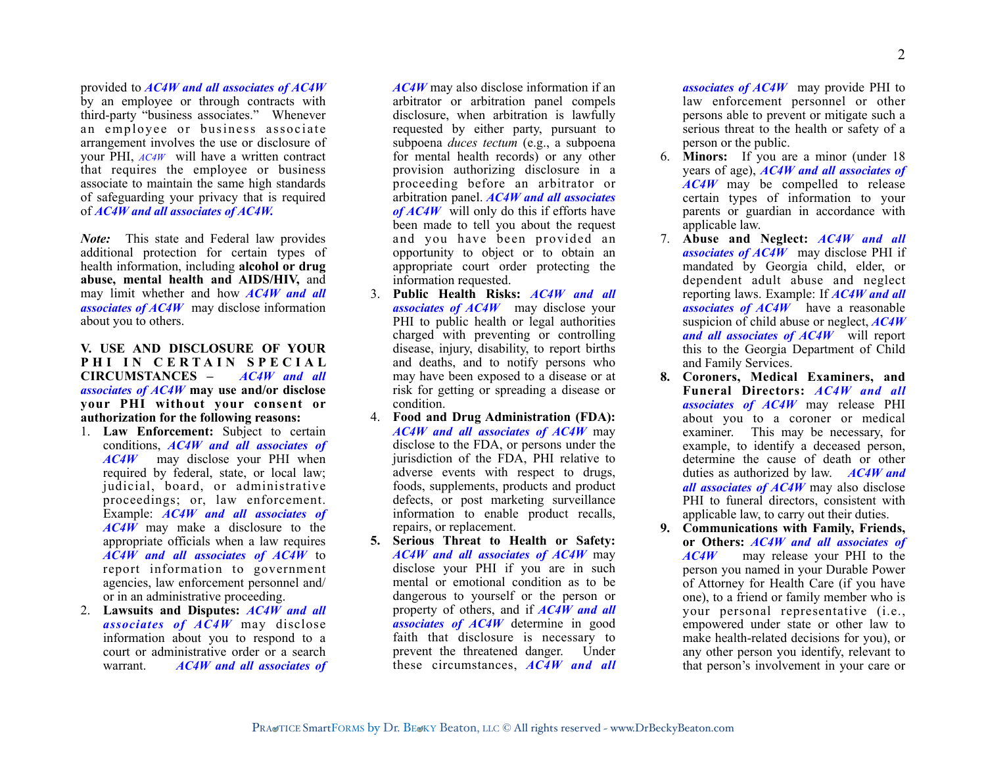provided to *AC4W and all associates of AC4W* by an employee or through contracts with third-party "business associates." Whenever an employee or business associate arrangement involves the use or disclosure of your PHI, *AC4W* will have a written contract that requires the employee or business associate to maintain the same high standards of safeguarding your privacy that is required of *AC4W and all associates of AC4W.*

*Note:* This state and Federal law provides additional protection for certain types of health information, including **alcohol or drug abuse, mental health and AIDS/HIV,** and may limit whether and how *AC4W and all associates of AC4W* may disclose information about you to others.

**V. USE AND DISCLOSURE OF YOUR PHI IN CERTAIN SPECIAL CIRCUMSTANCES –** *AC4W and all associates of AC4W* **may use and/or disclose your PHI without your consent or authorization for the following reasons:**

- 1. **Law Enforcement:** Subject to certain conditions, *AC4W and all associates of AC4W* may disclose your PHI when required by federal, state, or local law; judicial, board, or administrative proceedings; or, law enforcement. Example: *AC4W and all associates of AC4W* may make a disclosure to the appropriate officials when a law requires *AC4W and all associates of AC4W* to report information to government agencies, law enforcement personnel and/ or in an administrative proceeding.
- 2. **Lawsuits and Disputes:** *AC4W and all associates of AC4W* may disclose information about you to respond to a court or administrative order or a search warrant. *AC4W and all associates of*

*AC4W* may also disclose information if an arbitrator or arbitration panel compels disclosure, when arbitration is lawfully requested by either party, pursuant to subpoena *duces tectum* (e.g., a subpoena for mental health records) or any other provision authorizing disclosure in a proceeding before an arbitrator or arbitration panel. *AC4W and all associates of AC4W* will only do this if efforts have been made to tell you about the request and you have been provided an opportunity to object or to obtain an appropriate court order protecting the information requested.

- 3. **Public Health Risks:** *AC4W and all associates of AC4W* may disclose your PHI to public health or legal authorities charged with preventing or controlling disease, injury, disability, to report births and deaths, and to notify persons who may have been exposed to a disease or at risk for getting or spreading a disease or condition.
- 4. **Food and Drug Administration (FDA):** *AC4W and all associates of AC4W* may disclose to the FDA, or persons under the jurisdiction of the FDA, PHI relative to adverse events with respect to drugs, foods, supplements, products and product defects, or post marketing surveillance information to enable product recalls, repairs, or replacement.
- **5. Serious Threat to Health or Safety:**  *AC4W and all associates of AC4W* may disclose your PHI if you are in such mental or emotional condition as to be dangerous to yourself or the person or property of others, and if *AC4W and all associates of AC4W* determine in good faith that disclosure is necessary to prevent the threatened danger. Under these circumstances, *AC4W and all*

*associates of AC4W* may provide PHI to law enforcement personnel or other persons able to prevent or mitigate such a serious threat to the health or safety of a person or the public.

- 6. **Minors:** If you are a minor (under 18 years of age), *AC4W and all associates of AC4W* may be compelled to release certain types of information to your parents or guardian in accordance with applicable law.
- 7. **Abuse and Neglect:** *AC4W and all associates of AC4W* may disclose PHI if mandated by Georgia child, elder, or dependent adult abuse and neglect reporting laws. Example: If *AC4W and all associates of AC4W* have a reasonable suspicion of child abuse or neglect, *AC4W and all associates of AC4W* will report this to the Georgia Department of Child and Family Services.
- **8. Coroners, Medical Examiners, and Funeral Directors:** *AC4W and all associates of AC4W* may release PHI about you to a coroner or medical examiner. This may be necessary, for example, to identify a deceased person, determine the cause of death or other duties as authorized by law. *AC4W and all associates of AC4W* may also disclose PHI to funeral directors, consistent with applicable law, to carry out their duties.
- **9. Communications with Family, Friends, or Others:** *AC4W and all associates of AC4W*may release your PHI to the person you named in your Durable Power of Attorney for Health Care (if you have one), to a friend or family member who is your personal representative (i.e., empowered under state or other law to make health-related decisions for you), or any other person you identify, relevant to that person's involvement in your care or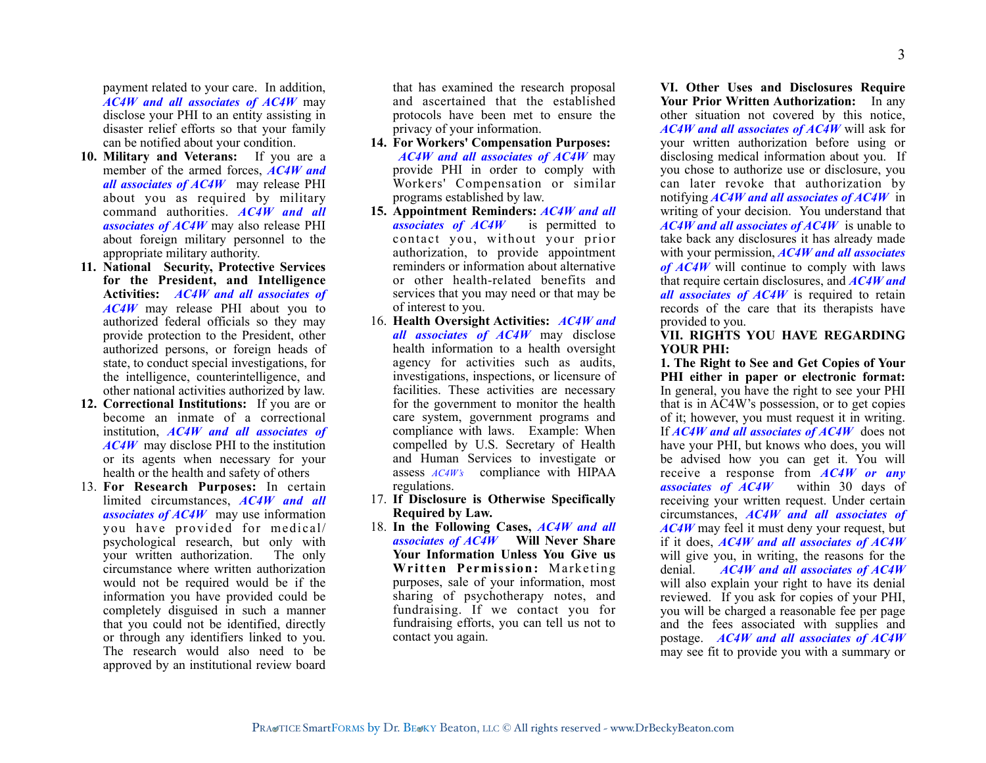payment related to your care. In addition, *AC4W and all associates of AC4W* may disclose your PHI to an entity assisting in disaster relief efforts so that your family can be notified about your condition.

- **10. Military and Veterans:** If you are a member of the armed forces, *AC4W and all associates of AC4W* may release PHI about you as required by military command authorities. *AC4W and all associates of AC4W* may also release PHI about foreign military personnel to the appropriate military authority.
- **11. National Security, Protective Services for the President, and Intelligence Activities:** *AC4W and all associates of AC4W* may release PHI about you to authorized federal officials so they may provide protection to the President, other authorized persons, or foreign heads of state, to conduct special investigations, for the intelligence, counterintelligence, and other national activities authorized by law.
- **12. Correctional Institutions:** If you are or become an inmate of a correctional institution, *AC4W and all associates of AC4W* may disclose PHI to the institution or its agents when necessary for your health or the health and safety of others
- 13. **For Research Purposes:** In certain limited circumstances, *AC4W and all associates of AC4W* may use information you have provided for medical/ psychological research, but only with your written authorization. The only circumstance where written authorization would not be required would be if the information you have provided could be completely disguised in such a manner that you could not be identified, directly or through any identifiers linked to you. The research would also need to be approved by an institutional review board

that has examined the research proposal and ascertained that the established protocols have been met to ensure the privacy of your information.

- **14. For Workers' Compensation Purposes:**  *AC4W and all associates of AC4W* may provide PHI in order to comply with Workers' Compensation or similar programs established by law.
- **15. Appointment Reminders:** *AC4W and all associates of AC4W* is permitted to contact you, without your prior authorization, to provide appointment reminders or information about alternative or other health-related benefits and services that you may need or that may be of interest to you.
- 16. **Health Oversight Activities:** *AC4W and all associates of AC4W* may disclose health information to a health oversight agency for activities such as audits, investigations, inspections, or licensure of facilities. These activities are necessary for the government to monitor the health care system, government programs and compliance with laws. Example: When compelled by U.S. Secretary of Health and Human Services to investigate or assess *AC4W's* compliance with HIPAA regulations.
- 17. **If Disclosure is Otherwise Specifically Required by Law.**
- 18. **In the Following Cases,** *AC4W and all associates of AC4W* **Will Never Share Your Information Unless You Give us Written Permission:** Marketing purposes, sale of your information, most sharing of psychotherapy notes, and fundraising. If we contact you for fundraising efforts, you can tell us not to contact you again.

**VI. Other Uses and Disclosures Require Your Prior Written Authorization:** In any other situation not covered by this notice, *AC4W and all associates of AC4W* will ask for your written authorization before using or disclosing medical information about you. If you chose to authorize use or disclosure, you can later revoke that authorization by notifying *AC4W and all associates of AC4W* in writing of your decision. You understand that *AC4W and all associates of AC4W* is unable to take back any disclosures it has already made with your permission, *AC4W and all associates of AC4W* will continue to comply with laws that require certain disclosures, and *AC4W and all associates of AC4W* is required to retain records of the care that its therapists have provided to you.

## **VII. RIGHTS YOU HAVE REGARDING YOUR PHI:**

**1. The Right to See and Get Copies of Your PHI either in paper or electronic format:**  In general, you have the right to see your PHI that is in AC4W's possession, or to get copies of it; however, you must request it in writing. If *AC4W and all associates of AC4W* does not have your PHI, but knows who does, you will be advised how you can get it. You will receive a response from *AC4W or any associates of AC4W* within 30 days of receiving your written request. Under certain circumstances, *AC4W and all associates of AC4W* may feel it must deny your request, but if it does, *AC4W and all associates of AC4W* will give you, in writing, the reasons for the denial. *AC4W and all associates of AC4W* will also explain your right to have its denial reviewed. If you ask for copies of your PHI, you will be charged a reasonable fee per page and the fees associated with supplies and postage. *AC4W and all associates of AC4W* may see fit to provide you with a summary or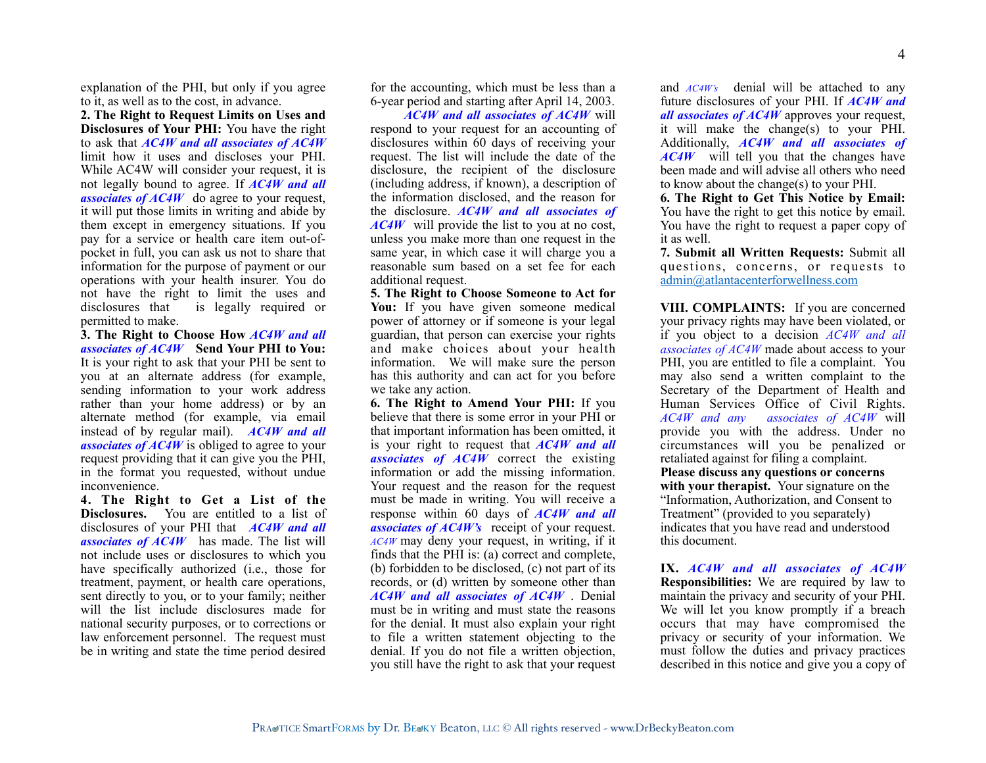explanation of the PHI, but only if you agree to it, as well as to the cost, in advance.

**2. The Right to Request Limits on Uses and Disclosures of Your PHI:** You have the right to ask that *AC4W and all associates of AC4W* limit how it uses and discloses your PHI. While AC4W will consider your request, it is not legally bound to agree. If *AC4W and all associates of AC4W* do agree to your request, it will put those limits in writing and abide by them except in emergency situations. If you pay for a service or health care item out-ofpocket in full, you can ask us not to share that information for the purpose of payment or our operations with your health insurer. You do not have the right to limit the uses and disclosures that is legally required or permitted to make.

**3. The Right to Choose How** *AC4W and all associates of AC4W* **Send Your PHI to You:**  It is your right to ask that your PHI be sent to you at an alternate address (for example, sending information to your work address rather than your home address) or by an alternate method (for example, via email instead of by regular mail). *AC4W and all associates of AC4W* is obliged to agree to your request providing that it can give you the PHI, in the format you requested, without undue inconvenience.

**4. The Right to Get a List of the Disclosures.** You are entitled to a list of disclosures of your PHI that *AC4W and all associates of AC4W* has made. The list will not include uses or disclosures to which you have specifically authorized (i.e., those for treatment, payment, or health care operations, sent directly to you, or to your family; neither will the list include disclosures made for national security purposes, or to corrections or law enforcement personnel. The request must be in writing and state the time period desired for the accounting, which must be less than a 6-year period and starting after April 14, 2003.

 *AC4W and all associates of AC4W* will respond to your request for an accounting of disclosures within 60 days of receiving your request. The list will include the date of the disclosure, the recipient of the disclosure (including address, if known), a description of the information disclosed, and the reason for the disclosure. *AC4W and all associates of AC4W* will provide the list to you at no cost, unless you make more than one request in the same year, in which case it will charge you a reasonable sum based on a set fee for each additional request.

**5. The Right to Choose Someone to Act for You:** If you have given someone medical power of attorney or if someone is your legal guardian, that person can exercise your rights and make choices about your health information. We will make sure the person has this authority and can act for you before we take any action.

**6. The Right to Amend Your PHI:** If you believe that there is some error in your PHI or that important information has been omitted, it is your right to request that *AC4W and all associates of AC4W* correct the existing information or add the missing information. Your request and the reason for the request must be made in writing. You will receive a response within 60 days of *AC4W and all associates of AC4W's* receipt of your request. *AC4W* may deny your request, in writing, if it finds that the PHI is: (a) correct and complete, (b) forbidden to be disclosed, (c) not part of its records, or (d) written by someone other than *AC4W and all associates of AC4W* . Denial must be in writing and must state the reasons for the denial. It must also explain your right to file a written statement objecting to the denial. If you do not file a written objection, you still have the right to ask that your request

and *AC4W's* denial will be attached to any future disclosures of your PHI. If *AC4W and all associates of AC4W* approves your request, it will make the change(s) to your PHI. Additionally, *AC4W and all associates of AC4W* will tell you that the changes have been made and will advise all others who need to know about the change(s) to your PHI.

**6. The Right to Get This Notice by Email:**  You have the right to get this notice by email. You have the right to request a paper copy of it as well.

**7. Submit all Written Requests:** Submit all questions, concerns, or requests to [admin@atlantacenterforwellness.com](mailto:admin@atlantacenterforwellness.com)

**VIII. COMPLAINTS:** If you are concerned your privacy rights may have been violated, or if you object to a decision *AC4W and all associates of AC4W* made about access to your PHI, you are entitled to file a complaint. You may also send a written complaint to the Secretary of the Department of Health and Human Services Office of Civil Rights. *AC4W and any associates of AC4W* will provide you with the address. Under no circumstances will you be penalized or retaliated against for filing a complaint. **Please discuss any questions or concerns with your therapist.** Your signature on the "Information, Authorization, and Consent to Treatment" (provided to you separately) indicates that you have read and understood this document.

**IX.** *AC4W and all associates of AC4W* **Responsibilities:** We are required by law to maintain the privacy and security of your PHI. We will let you know promptly if a breach occurs that may have compromised the privacy or security of your information. We must follow the duties and privacy practices described in this notice and give you a copy of